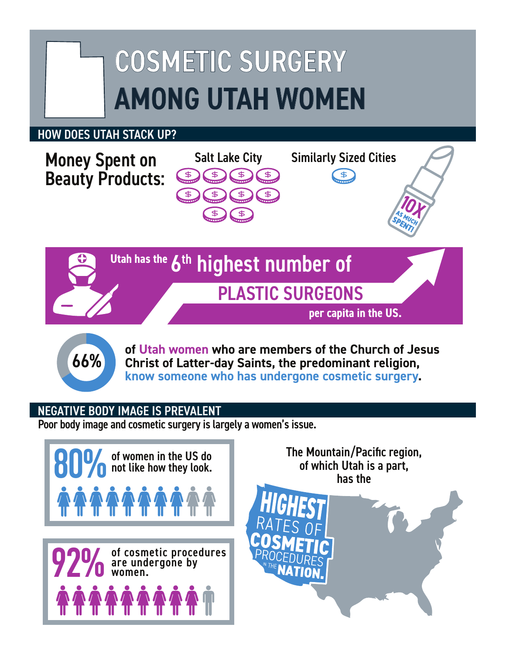# COSMETIC SURGERY AMONG UTAH WOMEN

## HOW DOES UTAH STACK UP?

Beauty Products:





**of Utah women who are members of the Church of Jesus Christ of Latter-day Saints, the predominant religion, know someone who has undergone cosmetic surgery.**<br> **know someone who has undergone cosmetic surgery.** 

### NEGATIVE BODY IMAGE IS PREVALENT

Poor body image and cosmetic surgery is largely a women's issue.



The Mountain/Pacific region,<br>of which Utah is a part, **IATION**